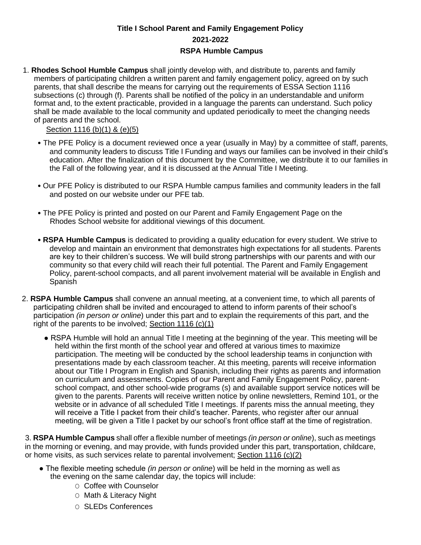## **Title I School Parent and Family Engagement Policy 2021-2022 RSPA Humble Campus**

1. **Rhodes School Humble Campus** shall jointly develop with, and distribute to, parents and family members of participating children a written parent and family engagement policy, agreed on by such parents, that shall describe the means for carrying out the requirements of ESSA Section 1116 subsections (c) through (f). Parents shall be notified of the policy in an understandable and uniform format and, to the extent practicable, provided in a language the parents can understand. Such policy shall be made available to the local community and updated periodically to meet the changing needs of parents and the school.

## Section 1116 (b)(1) & (e)(5)

- The PFE Policy is a document reviewed once a year (usually in May) by a committee of staff, parents, and community leaders to discuss Title I Funding and ways our families can be involved in their child's education. After the finalization of this document by the Committee, we distribute it to our families in the Fall of the following year, and it is discussed at the Annual Title I Meeting.
- Our PFE Policy is distributed to our RSPA Humble campus families and community leaders in the fall and posted on our website under our PFE tab.
- The PFE Policy is printed and posted on our Parent and Family Engagement Page on the Rhodes School website for additional viewings of this document.
- **RSPA Humble Campus** is dedicated to providing a quality education for every student. We strive to develop and maintain an environment that demonstrates high expectations for all students. Parents are key to their children's success. We will build strong partnerships with our parents and with our community so that every child will reach their full potential. The Parent and Family Engagement Policy, parent-school compacts, and all parent involvement material will be available in English and Spanish
- 2. **RSPA Humble Campus** shall convene an annual meeting, at a convenient time, to which all parents of participating children shall be invited and encouraged to attend to inform parents of their school's participation *(in person or online*) under this part and to explain the requirements of this part, and the right of the parents to be involved; Section 1116 (c)(1)
	- RSPA Humble will hold an annual Title I meeting at the beginning of the year. This meeting will be held within the first month of the school year and offered at various times to maximize participation. The meeting will be conducted by the school leadership teams in conjunction with presentations made by each classroom teacher. At this meeting, parents will receive information about our Title I Program in English and Spanish, including their rights as parents and information on curriculum and assessments. Copies of our Parent and Family Engagement Policy, parentschool compact, and other school-wide programs (s) and available support service notices will be given to the parents. Parents will receive written notice by online newsletters, Remind 101, or the website or in advance of all scheduled Title I meetings. If parents miss the annual meeting, they will receive a Title I packet from their child's teacher. Parents, who register after our annual meeting, will be given a Title I packet by our school's front office staff at the time of registration.

3. **RSPA Humble Campus** shall offer a flexible number of meetings *(in person or online*), such as meetings in the morning or evening, and may provide, with funds provided under this part, transportation, childcare, or home visits, as such services relate to parental involvement; Section 1116 (c)(2)

- The flexible meeting schedule *(in person or online*) will be held in the morning as well as the evening on the same calendar day, the topics will include:
	- O Coffee with Counselor
	- O Math & Literacy Night
	- O SLEDs Conferences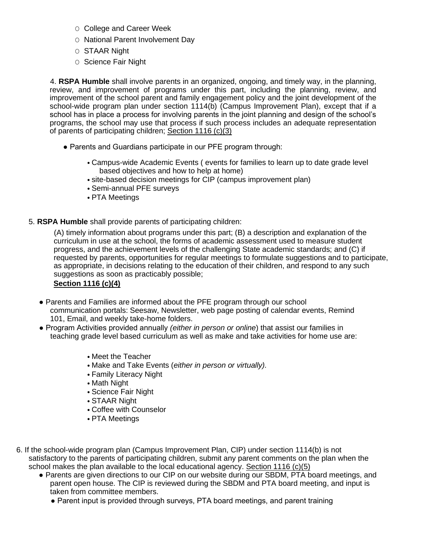- O College and Career Week
- O National Parent Involvement Day
- O STAAR Night
- O Science Fair Night

4. **RSPA Humble** shall involve parents in an organized, ongoing, and timely way, in the planning, review, and improvement of programs under this part, including the planning, review, and improvement of the school parent and family engagement policy and the joint development of the school-wide program plan under section 1114(b) (Campus Improvement Plan), except that if a school has in place a process for involving parents in the joint planning and design of the school's programs, the school may use that process if such process includes an adequate representation of parents of participating children; Section 1116 (c)(3)

- Parents and Guardians participate in our PFE program through:
	- Campus-wide Academic Events ( events for families to learn up to date grade level based objectives and how to help at home)
	- site-based decision meetings for CIP (campus improvement plan)
	- Semi-annual PFE surveys
	- PTA Meetings

5. **RSPA Humble** shall provide parents of participating children:

(A) timely information about programs under this part; (B) a description and explanation of the curriculum in use at the school, the forms of academic assessment used to measure student progress, and the achievement levels of the challenging State academic standards; and (C) if requested by parents, opportunities for regular meetings to formulate suggestions and to participate, as appropriate, in decisions relating to the education of their children, and respond to any such suggestions as soon as practicably possible;

## **Section 1116 (c)(4)**

- Parents and Families are informed about the PFE program through our school communication portals: Seesaw, Newsletter, web page posting of calendar events, Remind 101, Email, and weekly take-home folders.
- Program Activities provided annually *(either in person or online*) that assist our families in teaching grade level based curriculum as well as make and take activities for home use are:
	- Meet the Teacher
	- Make and Take Events (*either in person or virtually).*
	- Family Literacy Night
	- Math Night
	- Science Fair Night
	- STAAR Night
	- Coffee with Counselor
	- PTA Meetings
- 6. If the school-wide program plan (Campus Improvement Plan, CIP) under section 1114(b) is not satisfactory to the parents of participating children, submit any parent comments on the plan when the school makes the plan available to the local educational agency. Section 1116 (c)(5)
	- Parents are given directions to our CIP on our website during our SBDM, PTA board meetings, and parent open house. The CIP is reviewed during the SBDM and PTA board meeting, and input is taken from committee members.
		- Parent input is provided through surveys, PTA board meetings, and parent training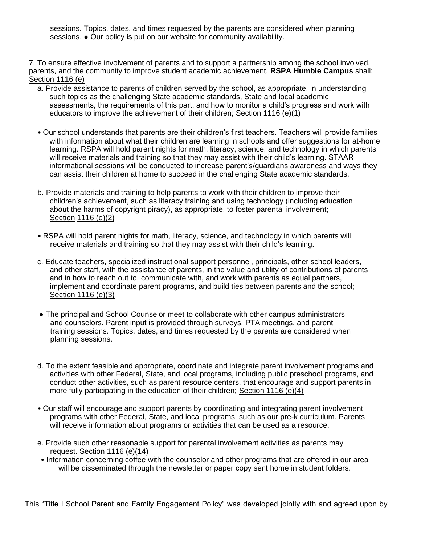sessions. Topics, dates, and times requested by the parents are considered when planning sessions. ● Our policy is put on our website for community availability.

7. To ensure effective involvement of parents and to support a partnership among the school involved, parents, and the community to improve student academic achievement, **RSPA Humble Campus** shall: Section 1116 (e)

- a. Provide assistance to parents of children served by the school, as appropriate, in understanding such topics as the challenging State academic standards, State and local academic assessments, the requirements of this part, and how to monitor a child's progress and work with educators to improve the achievement of their children; Section 1116 (e)(1)
- Our school understands that parents are their children's first teachers. Teachers will provide families with information about what their children are learning in schools and offer suggestions for at-home learning. RSPA will hold parent nights for math, literacy, science, and technology in which parents will receive materials and training so that they may assist with their child's learning. STAAR informational sessions will be conducted to increase parent's/guardians awareness and ways they can assist their children at home to succeed in the challenging State academic standards.
- b. Provide materials and training to help parents to work with their children to improve their children's achievement, such as literacy training and using technology (including education about the harms of copyright piracy), as appropriate, to foster parental involvement; Section 1116 (e)(2)
- RSPA will hold parent nights for math, literacy, science, and technology in which parents will receive materials and training so that they may assist with their child's learning.
- c. Educate teachers, specialized instructional support personnel, principals, other school leaders, and other staff, with the assistance of parents, in the value and utility of contributions of parents and in how to reach out to, communicate with, and work with parents as equal partners, implement and coordinate parent programs, and build ties between parents and the school; Section 1116 (e)(3)
- The principal and School Counselor meet to collaborate with other campus administrators and counselors. Parent input is provided through surveys, PTA meetings, and parent training sessions. Topics, dates, and times requested by the parents are considered when planning sessions.
- d. To the extent feasible and appropriate, coordinate and integrate parent involvement programs and activities with other Federal, State, and local programs, including public preschool programs, and conduct other activities, such as parent resource centers, that encourage and support parents in more fully participating in the education of their children; Section 1116 (e)(4)
- Our staff will encourage and support parents by coordinating and integrating parent involvement programs with other Federal, State, and local programs, such as our pre-k curriculum. Parents will receive information about programs or activities that can be used as a resource.
- e. Provide such other reasonable support for parental involvement activities as parents may request. Section 1116 (e)(14)
- Information concerning coffee with the counselor and other programs that are offered in our area will be disseminated through the newsletter or paper copy sent home in student folders.

This "Title I School Parent and Family Engagement Policy" was developed jointly with and agreed upon by